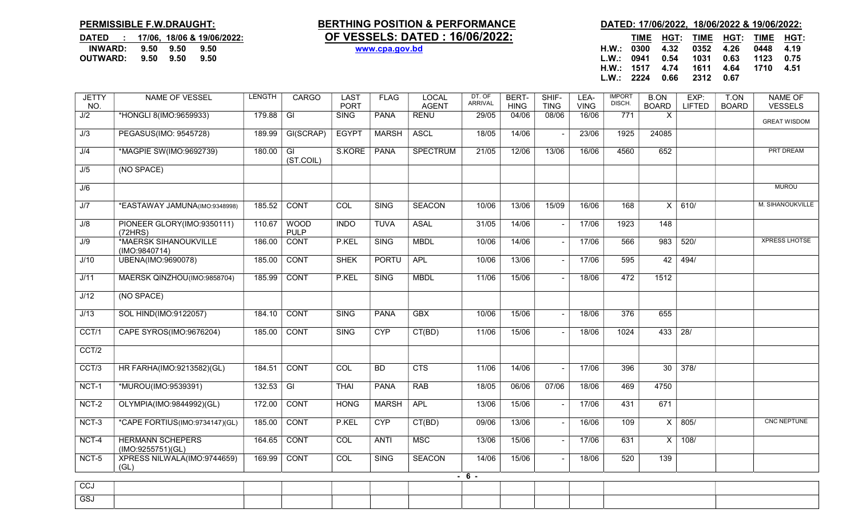GSJ

| DATED : 17/06, 18/06 & 19/06/2022: |           |      |
|------------------------------------|-----------|------|
| INWARD: 9.50 9.50                  |           | 9.50 |
| <b>OUTWARD:</b>                    | 9.50 9.50 | 9.50 |

## PERMISSIBLE F.W.DRAUGHT: BERTHING POSITION & PERFORMANCE DATED: 17/06/2022, 18/06/2022 & 19/06/2022: DATED : 17/06, 18/06 & 19/06/2022: **OF VESSELS: DATED : 16/06/2022:** TIME HGT: TIME HGT: TIME HGT: TIME HGT:

| DATED          |      |      | 17/06, 18/06 & 19/06/2022: | <b>OF VESSELS: DATED : 16/06/2022:</b> | TIME | HGT: | <b>TIME</b> | HGT: | TIME | <b>HGT</b> |
|----------------|------|------|----------------------------|----------------------------------------|------|------|-------------|------|------|------------|
| <b>INWARD:</b> | 9.50 | 9.50 | 9.50                       | H.W.:<br>www.cpa.gov.bd                | 0300 | 4.32 | 0352        | 4.26 | 0448 | 4.19       |
| OUTWARD:       | 9.50 | 9.50 | 9.50                       | L.W.                                   | 0941 | 0.54 | 1031        | 0.63 | 1123 | 0.75       |
|                |      |      |                            | H.W.:                                  | 1517 | 4.74 | 1611        | 4.64 | 1710 | 4.51       |
|                |      |      |                            | L.W.                                   | 2224 | 0.66 | 2312        | 0.67 |      |            |

| <b>JETTY</b><br>NO. | NAME OF VESSEL                               | LENGTH | <b>CARGO</b>               | LAST<br><b>PORT</b> | <b>FLAG</b>  | LOCAL<br><b>AGENT</b> | DT. OF<br><b>ARRIVAL</b> | BERT-<br><b>HING</b> | SHIF-<br><b>TING</b> | LEA-<br><b>VING</b> | <b>IMPORT</b><br>DISCH. | <b>B.ON</b><br><b>BOARD</b> | EXP:<br><b>LIFTED</b> | T.ON<br><b>BOARD</b> | <b>NAME OF</b><br><b>VESSELS</b> |
|---------------------|----------------------------------------------|--------|----------------------------|---------------------|--------------|-----------------------|--------------------------|----------------------|----------------------|---------------------|-------------------------|-----------------------------|-----------------------|----------------------|----------------------------------|
| J/2                 | *HONGLI 8(IMO:9659933)                       | 179.88 | $\overline{G}$             | <b>SING</b>         | <b>PANA</b>  | <b>RENU</b>           | 29/05                    | 04/06                | 08/06                | 16/06               | 771                     | X                           |                       |                      | <b>GREAT WISDOM</b>              |
| J/3                 | PEGASUS(IMO: 9545728)                        | 189.99 | GI(SCRAP)                  | <b>EGYPT</b>        | <b>MARSH</b> | <b>ASCL</b>           | 18/05                    | 14/06                |                      | 23/06               | 1925                    | 24085                       |                       |                      |                                  |
| J/4                 | *MAGPIE SW(IMO:9692739)                      | 180.00 | $\overline{G}$             | S.KORE              | <b>PANA</b>  | <b>SPECTRUM</b>       | 21/05                    | 12/06                | 13/06                | 16/06               | 4560                    | 652                         |                       |                      | <b>PRT DREAM</b>                 |
| J/5                 | (NO SPACE)                                   |        | (ST.COIL)                  |                     |              |                       |                          |                      |                      |                     |                         |                             |                       |                      |                                  |
| J/6                 |                                              |        |                            |                     |              |                       |                          |                      |                      |                     |                         |                             |                       |                      | <b>MUROU</b>                     |
|                     |                                              |        |                            |                     |              |                       |                          |                      |                      |                     |                         |                             |                       |                      |                                  |
| J/7                 | *EASTAWAY JAMUNA(IMO:9348998)                | 185.52 | <b>CONT</b>                | <b>COL</b>          | <b>SING</b>  | <b>SEACON</b>         | 10/06                    | 13/06                | 15/09                | 16/06               | 168                     | X                           | 610/                  |                      | M. SIHANOUKVILLE                 |
| J/8                 | PIONEER GLORY(IMO:9350111)<br>(72HRS)        | 110.67 | <b>WOOD</b><br><b>PULP</b> | <b>INDO</b>         | <b>TUVA</b>  | <b>ASAL</b>           | 31/05                    | 14/06                |                      | 17/06               | 1923                    | $\overline{148}$            |                       |                      |                                  |
| J/9                 | *MAERSK SIHANOUKVILLE<br>(IMO:9840714)       | 186.00 | <b>CONT</b>                | P.KEL               | <b>SING</b>  | <b>MBDL</b>           | 10/06                    | 14/06                |                      | 17/06               | 566                     | 983                         | 520/                  |                      | <b>XPRESS LHOTSE</b>             |
| J/10                | UBENA(IMO:9690078)                           | 185.00 | <b>CONT</b>                | <b>SHEK</b>         | <b>PORTU</b> | APL                   | 10/06                    | 13/06                |                      | 17/06               | 595                     | 42                          | 494/                  |                      |                                  |
| J/11                | MAERSK QINZHOU(IMO:9858704)                  | 185.99 | <b>CONT</b>                | P.KEL               | <b>SING</b>  | <b>MBDL</b>           | 11/06                    | 15/06                |                      | 18/06               | 472                     | 1512                        |                       |                      |                                  |
| J/12                | (NO SPACE)                                   |        |                            |                     |              |                       |                          |                      |                      |                     |                         |                             |                       |                      |                                  |
| J/13                | SOL HIND(IMO:9122057)                        | 184.10 | <b>CONT</b>                | <b>SING</b>         | <b>PANA</b>  | <b>GBX</b>            | 10/06                    | 15/06                |                      | 18/06               | 376                     | 655                         |                       |                      |                                  |
| CCT/1               | CAPE SYROS(IMO:9676204)                      | 185.00 | <b>CONT</b>                | <b>SING</b>         | <b>CYP</b>   | CT(BD)                | 11/06                    | 15/06                |                      | 18/06               | 1024                    | 433                         | 28/                   |                      |                                  |
| CCT/2               |                                              |        |                            |                     |              |                       |                          |                      |                      |                     |                         |                             |                       |                      |                                  |
| CCT/3               | HR FARHA(IMO:9213582)(GL)                    | 184.51 | <b>CONT</b>                | <b>COL</b>          | BD           | CTS                   | 11/06                    | 14/06                |                      | 17/06               | 396                     | 30                          | 378/                  |                      |                                  |
| NCT-1               | *MUROU(IMO:9539391)                          | 132.53 | $\overline{\mathbb{G}}$    | <b>THAI</b>         | <b>PANA</b>  | <b>RAB</b>            | 18/05                    | 06/06                | 07/06                | 18/06               | 469                     | 4750                        |                       |                      |                                  |
| NCT-2               | OLYMPIA(IMO:9844992)(GL)                     | 172.00 | CONT                       | <b>HONG</b>         | <b>MARSH</b> | <b>APL</b>            | 13/06                    | 15/06                |                      | 17/06               | 431                     | 671                         |                       |                      |                                  |
| $NCT-3$             | *CAPE FORTIUS(IMO:9734147)(GL)               | 185.00 | <b>CONT</b>                | P.KEL               | <b>CYP</b>   | CT(BD)                | 09/06                    | 13/06                |                      | 16/06               | 109                     | $\overline{X}$              | 805/                  |                      | <b>CNC NEPTUNE</b>               |
| NCT-4               | <b>HERMANN SCHEPERS</b><br>(IMO:9255751)(GL) | 164.65 | <b>CONT</b>                | <b>COL</b>          | <b>ANTI</b>  | <b>MSC</b>            | 13/06                    | 15/06                |                      | 17/06               | 631                     | $\times$                    | 108/                  |                      |                                  |
| NCT-5               | XPRESS NILWALA(IMO:9744659)<br>(GL)          | 169.99 | <b>CONT</b>                | <b>COL</b>          | <b>SING</b>  | <b>SEACON</b>         | 14/06                    | 15/06                |                      | 18/06               | 520                     | 139                         |                       |                      |                                  |
|                     |                                              |        |                            |                     |              |                       | $-6 -$                   |                      |                      |                     |                         |                             |                       |                      |                                  |
| CCJ                 |                                              |        |                            |                     |              |                       |                          |                      |                      |                     |                         |                             |                       |                      |                                  |